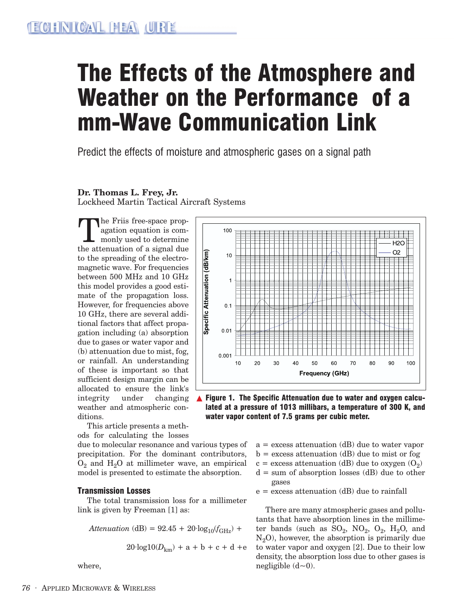# The Effects of the Atmosphere and Weather on the Performance of a mm-Wave Communication Link

Predict the effects of moisture and atmospheric gases on a signal path

#### **Dr. Thomas L. Frey, Jr.**

Lockheed Martin Tactical Aircraft Systems

The Friis free-space prop-<br>agation equation is com-<br>the attenuation of a signal due agation equation is commonly used to determine the attenuation of a signal due to the spreading of the electromagnetic wave. For frequencies between 500 MHz and 10 GHz this model provides a good estimate of the propagation loss. However, for frequencies above 10 GHz, there are several additional factors that affect propagation including (a) absorption due to gases or water vapor and (b) attenuation due to mist, fog, or rainfall. An understanding of these is important so that sufficient design margin can be allocated to ensure the link's integrity under changing weather and atmospheric conditions.



▲ Figure 1. The Specific Attenuation due to water and oxygen calculated at a pressure of 1013 millibars, a temperature of 300 K, and water vapor content of 7.5 grams per cubic meter.

This article presents a methods for calculating the losses

due to molecular resonance and various types of precipitation. For the dominant contributors,  $O_2$  and  $H_2O$  at millimeter wave, an empirical model is presented to estimate the absorption.

#### Transmission Losses

The total transmission loss for a millimeter link is given by Freeman [1] as:

$$
Attention (dB) = 92.45 + 20 \cdot log_{10}(f_{\text{GHz}}) +
$$

$$
20 \cdot \log 10(D_{km}) + a + b + c + d + e
$$

where,

- $a =$  excess attenuation (dB) due to water vapor
- $b =$  excess attenuation (dB) due to mist or fog
- c = excess attenuation (dB) due to oxygen  $(O_2)$
- $d = sum of absorption losses (dB) due to other$ gases
- $e =$  excess attenuation (dB) due to rainfall

There are many atmospheric gases and pollutants that have absorption lines in the millimeter bands (such as  $SO_2$ ,  $NO_2$ ,  $O_2$ ,  $H_2O$ , and  $N_2O$ , however, the absorption is primarily due to water vapor and oxygen [2]. Due to their low density, the absorption loss due to other gases is negligible  $(d<0)$ .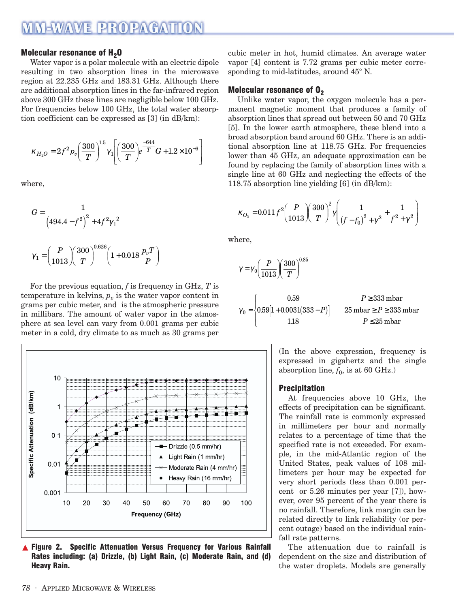### **MM-WAVE PROPAGATION**

#### Molecular resonance of  $H_2O$

Water vapor is a polar molecule with an electric dipole resulting in two absorption lines in the microwave region at 22.235 GHz and 183.31 GHz. Although there are additional absorption lines in the far-infrared region above 300 GHz these lines are negligible below 100 GHz. For frequencies below 100 GHz, the total water absorption coefficient can be expressed as [3] (in dB/km):

$$
\kappa_{H_2O} = 2f^2 p_v \left(\frac{300}{T}\right)^{1.5} \gamma_1 \left[ \left(\frac{300}{T}\right) e^{-\frac{644}{T}} G + 1.2 \times 10^{-6} \right]
$$

where,

$$
G = \frac{1}{\left(494.4 - f^2\right)^2 + 4f^2 \gamma_1^2}
$$

$$
\gamma_1 = \left(\frac{P}{1013}\right) \left(\frac{300}{T}\right)^{0.626} \left(1 + 0.018 \frac{p_v T}{P}\right)
$$

For the previous equation, *f* is frequency in GHz, *T* is temperature in kelvins,  $p_v$  is the water vapor content in grams per cubic meter, and is the atmospheric pressure in millibars. The amount of water vapor in the atmosphere at sea level can vary from 0.001 grams per cubic meter in a cold, dry climate to as much as 30 grams per



▲ Figure 2. Specific Attenuation Versus Frequency for Various Rainfall Rates including: (a) Drizzle, (b) Light Rain, (c) Moderate Rain, and (d) Heavy Rain.

cubic meter in hot, humid climates. An average water vapor [4] content is 7.72 grams per cubic meter corresponding to mid-latitudes, around 45° N.

#### Molecular resonance of  $O<sub>2</sub>$

Unlike water vapor, the oxygen molecule has a permanent magnetic moment that produces a family of absorption lines that spread out between 50 and 70 GHz [5]. In the lower earth atmosphere, these blend into a broad absorption band around 60 GHz. There is an additional absorption line at 118.75 GHz. For frequencies lower than 45 GHz, an adequate approximation can be found by replacing the family of absorption lines with a single line at 60 GHz and neglecting the effects of the 118.75 absorption line yielding [6] (in dB/km):

$$
\kappa_{O_2} = 0.011 f^2 \left(\frac{P}{1013}\right) \left(\frac{300}{T}\right)^2 \gamma \left(\frac{1}{\left(f - f_0\right)^2 + \gamma^2} + \frac{1}{f^2 + \gamma^2}\right)
$$

where,

$$
\gamma = \gamma_0 \left(\frac{P}{1013}\right) \left(\frac{300}{T}\right)^{0.85}
$$
\n
$$
\gamma_0 = \begin{cases}\n0.59 & P \ge 333 \text{ mbar} \\
0.59[1 + 0.0031(333 - P)] & 25 \text{ mbar} \ge P \ge 333 \text{ mbar} \\
1.18 & P \le 25 \text{ mbar}\n\end{cases}
$$

(In the above expression, frequency is expressed in gigahertz and the single absorption line,  $f_0$ , is at 60 GHz.)

#### Precipitation

At frequencies above 10 GHz, the effects of precipitation can be significant. The rainfall rate is commonly expressed in millimeters per hour and normally relates to a percentage of time that the specified rate is not exceeded. For example, in the mid-Atlantic region of the United States, peak values of 108 millimeters per hour may be expected for very short periods (less than 0.001 percent or 5.26 minutes per year [7]), however, over 95 percent of the year there is no rainfall. Therefore, link margin can be related directly to link reliability (or percent outage) based on the individual rainfall rate patterns.

The attenuation due to rainfall is dependent on the size and distribution of the water droplets. Models are generally